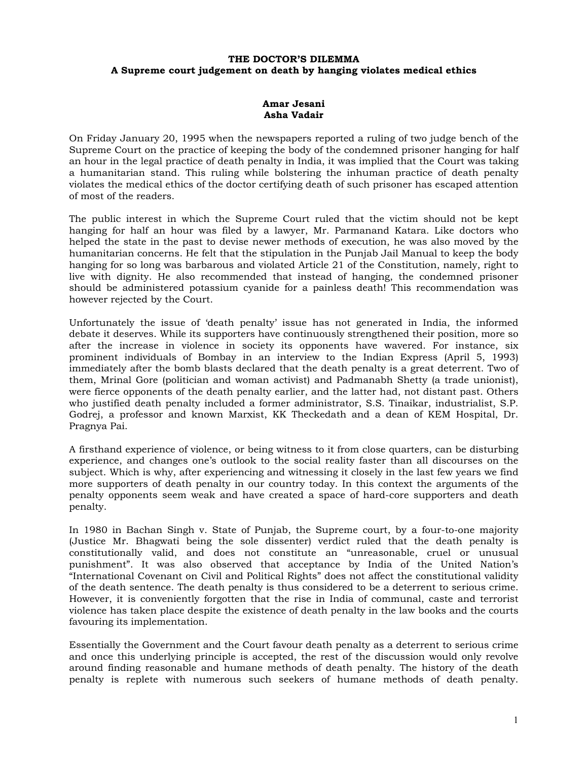## **THE DOCTOR'S DILEMMA A Supreme court judgement on death by hanging violates medical ethics**

## **Amar Jesani Asha Vadair**

On Friday January 20, 1995 when the newspapers reported a ruling of two judge bench of the Supreme Court on the practice of keeping the body of the condemned prisoner hanging for half an hour in the legal practice of death penalty in India, it was implied that the Court was taking a humanitarian stand. This ruling while bolstering the inhuman practice of death penalty violates the medical ethics of the doctor certifying death of such prisoner has escaped attention of most of the readers.

The public interest in which the Supreme Court ruled that the victim should not be kept hanging for half an hour was filed by a lawyer, Mr. Parmanand Katara. Like doctors who helped the state in the past to devise newer methods of execution, he was also moved by the humanitarian concerns. He felt that the stipulation in the Punjab Jail Manual to keep the body hanging for so long was barbarous and violated Article 21 of the Constitution, namely, right to live with dignity. He also recommended that instead of hanging, the condemned prisoner should be administered potassium cyanide for a painless death! This recommendation was however rejected by the Court.

Unfortunately the issue of 'death penalty' issue has not generated in India, the informed debate it deserves. While its supporters have continuously strengthened their position, more so after the increase in violence in society its opponents have wavered. For instance, six prominent individuals of Bombay in an interview to the Indian Express (April 5, 1993) immediately after the bomb blasts declared that the death penalty is a great deterrent. Two of them, Mrinal Gore (politician and woman activist) and Padmanabh Shetty (a trade unionist), were fierce opponents of the death penalty earlier, and the latter had, not distant past. Others who justified death penalty included a former administrator, S.S. Tinaikar, industrialist, S.P. Godrej, a professor and known Marxist, KK Theckedath and a dean of KEM Hospital, Dr. Pragnya Pai.

A firsthand experience of violence, or being witness to it from close quarters, can be disturbing experience, and changes one's outlook to the social reality faster than all discourses on the subject. Which is why, after experiencing and witnessing it closely in the last few years we find more supporters of death penalty in our country today. In this context the arguments of the penalty opponents seem weak and have created a space of hard-core supporters and death penalty.

In 1980 in Bachan Singh v. State of Punjab, the Supreme court, by a four-to-one majority (Justice Mr. Bhagwati being the sole dissenter) verdict ruled that the death penalty is constitutionally valid, and does not constitute an "unreasonable, cruel or unusual punishment". It was also observed that acceptance by India of the United Nation's "International Covenant on Civil and Political Rights" does not affect the constitutional validity of the death sentence. The death penalty is thus considered to be a deterrent to serious crime. However, it is conveniently forgotten that the rise in India of communal, caste and terrorist violence has taken place despite the existence of death penalty in the law books and the courts favouring its implementation.

Essentially the Government and the Court favour death penalty as a deterrent to serious crime and once this underlying principle is accepted, the rest of the discussion would only revolve around finding reasonable and humane methods of death penalty. The history of the death penalty is replete with numerous such seekers of humane methods of death penalty.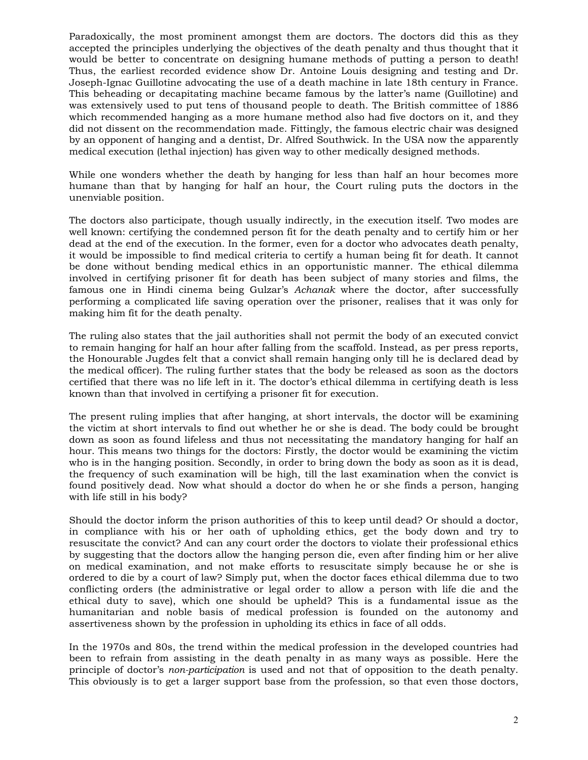Paradoxically, the most prominent amongst them are doctors. The doctors did this as they accepted the principles underlying the objectives of the death penalty and thus thought that it would be better to concentrate on designing humane methods of putting a person to death! Thus, the earliest recorded evidence show Dr. Antoine Louis designing and testing and Dr. Joseph-Ignac Guillotine advocating the use of a death machine in late 18th century in France. This beheading or decapitating machine became famous by the latter's name (Guillotine) and was extensively used to put tens of thousand people to death. The British committee of 1886 which recommended hanging as a more humane method also had five doctors on it, and they did not dissent on the recommendation made. Fittingly, the famous electric chair was designed by an opponent of hanging and a dentist, Dr. Alfred Southwick. In the USA now the apparently medical execution (lethal injection) has given way to other medically designed methods.

While one wonders whether the death by hanging for less than half an hour becomes more humane than that by hanging for half an hour, the Court ruling puts the doctors in the unenviable position.

The doctors also participate, though usually indirectly, in the execution itself. Two modes are well known: certifying the condemned person fit for the death penalty and to certify him or her dead at the end of the execution. In the former, even for a doctor who advocates death penalty, it would be impossible to find medical criteria to certify a human being fit for death. It cannot be done without bending medical ethics in an opportunistic manner. The ethical dilemma involved in certifying prisoner fit for death has been subject of many stories and films, the famous one in Hindi cinema being Gulzar's *Achanak* where the doctor, after successfully performing a complicated life saving operation over the prisoner, realises that it was only for making him fit for the death penalty.

The ruling also states that the jail authorities shall not permit the body of an executed convict to remain hanging for half an hour after falling from the scaffold. Instead, as per press reports, the Honourable Jugdes felt that a convict shall remain hanging only till he is declared dead by the medical officer). The ruling further states that the body be released as soon as the doctors certified that there was no life left in it. The doctor's ethical dilemma in certifying death is less known than that involved in certifying a prisoner fit for execution.

The present ruling implies that after hanging, at short intervals, the doctor will be examining the victim at short intervals to find out whether he or she is dead. The body could be brought down as soon as found lifeless and thus not necessitating the mandatory hanging for half an hour. This means two things for the doctors: Firstly, the doctor would be examining the victim who is in the hanging position. Secondly, in order to bring down the body as soon as it is dead, the frequency of such examination will be high, till the last examination when the convict is found positively dead. Now what should a doctor do when he or she finds a person, hanging with life still in his body?

Should the doctor inform the prison authorities of this to keep until dead? Or should a doctor, in compliance with his or her oath of upholding ethics, get the body down and try to resuscitate the convict? And can any court order the doctors to violate their professional ethics by suggesting that the doctors allow the hanging person die, even after finding him or her alive on medical examination, and not make efforts to resuscitate simply because he or she is ordered to die by a court of law? Simply put, when the doctor faces ethical dilemma due to two conflicting orders (the administrative or legal order to allow a person with life die and the ethical duty to save), which one should be upheld? This is a fundamental issue as the humanitarian and noble basis of medical profession is founded on the autonomy and assertiveness shown by the profession in upholding its ethics in face of all odds.

In the 1970s and 80s, the trend within the medical profession in the developed countries had been to refrain from assisting in the death penalty in as many ways as possible. Here the principle of doctor's *non-participation* is used and not that of opposition to the death penalty. This obviously is to get a larger support base from the profession, so that even those doctors,